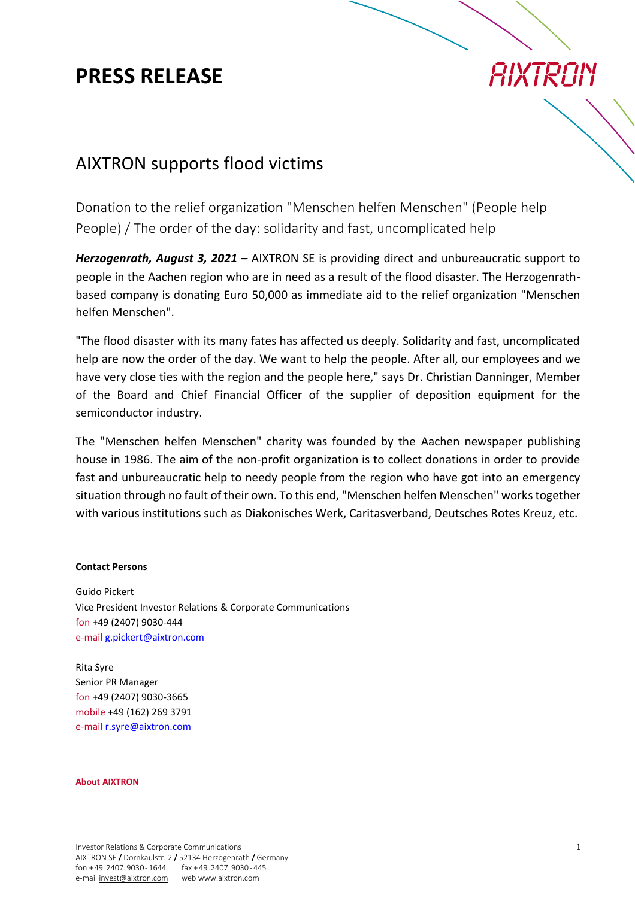### **PRESS RELEASE**

# *RIXTRAIN*

### AIXTRON supports flood victims

Donation to the relief organization "Menschen helfen Menschen" (People help People) / The order of the day: solidarity and fast, uncomplicated help

*Herzogenrath, August 3, 2021 –* AIXTRON SE is providing direct and unbureaucratic support to people in the Aachen region who are in need as a result of the flood disaster. The Herzogenrathbased company is donating Euro 50,000 as immediate aid to the relief organization "Menschen helfen Menschen".

"The flood disaster with its many fates has affected us deeply. Solidarity and fast, uncomplicated help are now the order of the day. We want to help the people. After all, our employees and we have very close ties with the region and the people here," says Dr. Christian Danninger, Member of the Board and Chief Financial Officer of the supplier of deposition equipment for the semiconductor industry.

The "Menschen helfen Menschen" charity was founded by the Aachen newspaper publishing house in 1986. The aim of the non-profit organization is to collect donations in order to provide fast and unbureaucratic help to needy people from the region who have got into an emergency situation through no fault of their own. To this end, "Menschen helfen Menschen" works together with various institutions such as Diakonisches Werk, Caritasverband, Deutsches Rotes Kreuz, etc.

#### **Contact Persons**

Guido Pickert Vice President Investor Relations & Corporate Communications fon +49 (2407) 9030-444 e-mai[l g.pickert@aixtron.com](mailto:g.pickert@aixtron.com)

Rita Syre Senior PR Manager fon +49 (2407) 9030-3665 mobile +49 (162) 269 3791 e-mail [r.syre@aixtron.com](mailto:r.syre@aixtron.com)

#### **About AIXTRON**